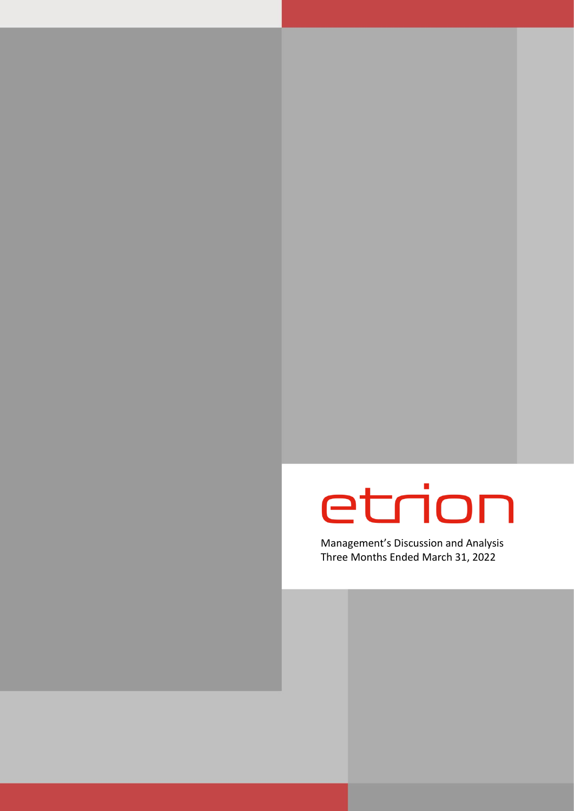# etrion

Management's Discussion and Analysis Three Months Ended March 31, 2022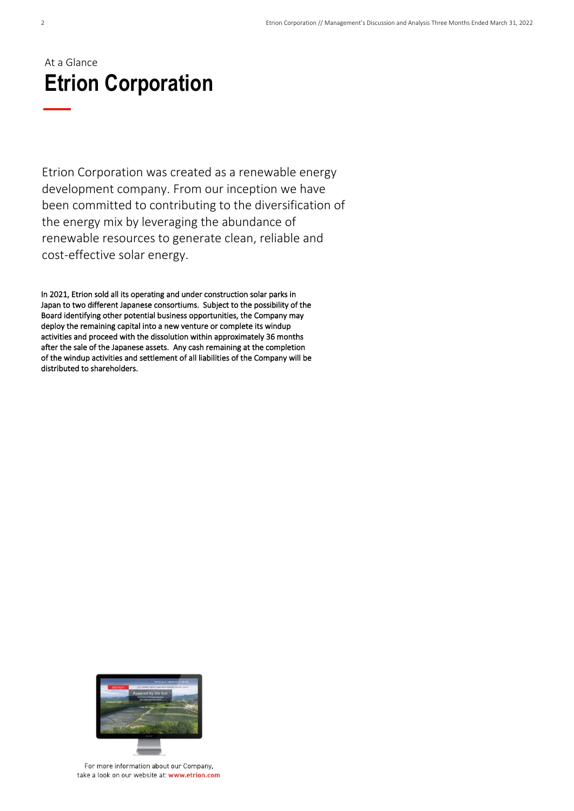### At a Glance **Etrion Corporation**

Etrion Corporation was created as a renewable energy development company. From our inception we have been committed to contributing to the diversification of the energy mix by leveraging the abundance of renewable resources to generate clean, reliable and cost-effective solar energy.

In 2021, Etrion sold all its operating and under construction solar parks in Japan to two different Japanese consortiums. Subject to the possibility of the Board identifying other potential business opportunities, the Company may deploy the remaining capital into a new venture or complete its windup activities and proceed with the dissolution within approximately 36 months after the sale of the Japanese assets. Any cash remaining at the completion of the windup activities and settlement of all liabilities of the Company will be distributed to shareholders.



For more information about our Company. take a look on our website at: www.etrion.com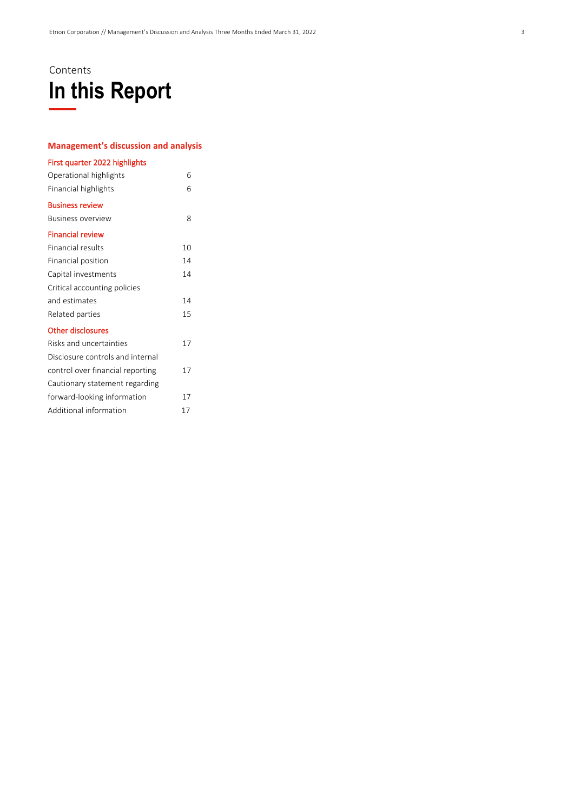### Contents **In this Report**

#### **Management's discussion and analysis**

| First quarter 2022 highlights    |    |  |
|----------------------------------|----|--|
| Operational highlights           | 6  |  |
| Financial highlights             | 6  |  |
| <b>Business review</b>           |    |  |
| <b>Business overview</b>         | 8  |  |
| <b>Financial review</b>          |    |  |
| <b>Financial results</b>         | 10 |  |
| Financial position               | 14 |  |
| Capital investments              | 14 |  |
| Critical accounting policies     |    |  |
| and estimates                    | 14 |  |
| Related parties                  | 15 |  |
| <b>Other disclosures</b>         |    |  |
| Risks and uncertainties          | 17 |  |
| Disclosure controls and internal |    |  |
| control over financial reporting | 17 |  |
| Cautionary statement regarding   |    |  |
| forward-looking information      | 17 |  |
| Additional information           | 17 |  |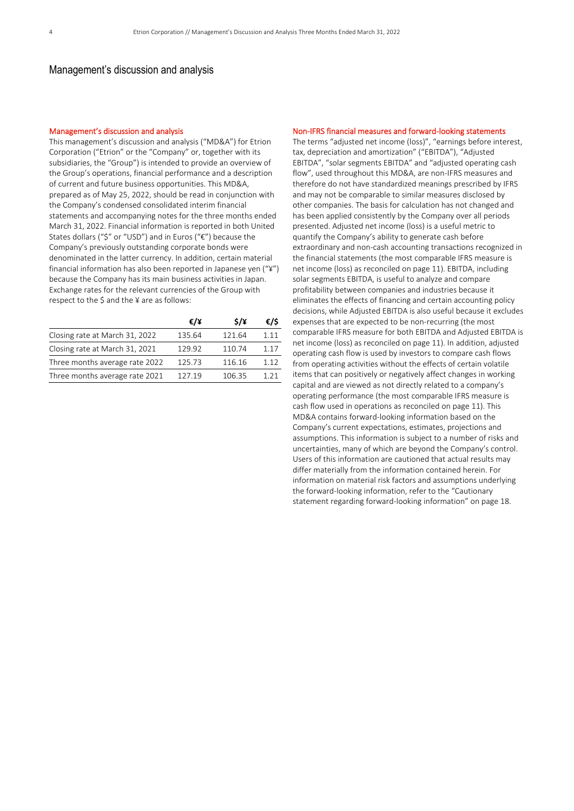#### Management's discussion and analysis

#### Management's discussion and analysis

This management's discussion and analysis ("MD&A") for Etrion Corporation ("Etrion" or the "Company" or, together with its subsidiaries, the "Group") is intended to provide an overview of the Group's operations, financial performance and a description of current and future business opportunities. This MD&A, prepared as of May 25, 2022, should be read in conjunction with the Company's condensed consolidated interim financial statements and accompanying notes for the three months ended March 31, 2022. Financial information is reported in both United States dollars ("\$" or "USD") and in Euros ("€") because the Company's previously outstanding corporate bonds were denominated in the latter currency. In addition, certain material financial information has also been reported in Japanese yen ("¥") because the Company has its main business activities in Japan. Exchange rates for the relevant currencies of the Group with respect to the \$ and the ¥ are as follows:

|                                | €/¥    | $\frac{1}{2}$ | €/\$  |
|--------------------------------|--------|---------------|-------|
| Closing rate at March 31, 2022 | 135.64 | 121.64        | 1 1 1 |
| Closing rate at March 31, 2021 | 129.92 | 110.74        | 1.17  |
| Three months average rate 2022 | 125.73 | 116.16        | 1 1 2 |
| Three months average rate 2021 | 127.19 | 106.35        | 1 21  |

#### Non-IFRS financial measures and forward-looking statements

The terms "adjusted net income (loss)", "earnings before interest, tax, depreciation and amortization" ("EBITDA"), "Adjusted EBITDA", "solar segments EBITDA" and "adjusted operating cash flow", used throughout this MD&A, are non-IFRS measures and therefore do not have standardized meanings prescribed by IFRS and may not be comparable to similar measures disclosed by other companies. The basis for calculation has not changed and has been applied consistently by the Company over all periods presented. Adjusted net income (loss) is a useful metric to quantify the Company's ability to generate cash before extraordinary and non-cash accounting transactions recognized in the financial statements (the most comparable IFRS measure is net income (loss) as reconciled on page 11). EBITDA, including solar segments EBITDA, is useful to analyze and compare profitability between companies and industries because it eliminates the effects of financing and certain accounting policy decisions, while Adjusted EBITDA is also useful because it excludes expenses that are expected to be non-recurring (the most comparable IFRS measure for both EBITDA and Adjusted EBITDA is net income (loss) as reconciled on page 11). In addition, adjusted operating cash flow is used by investors to compare cash flows from operating activities without the effects of certain volatile items that can positively or negatively affect changes in working capital and are viewed as not directly related to a company's operating performance (the most comparable IFRS measure is cash flow used in operations as reconciled on page 11). This MD&A contains forward-looking information based on the Company's current expectations, estimates, projections and assumptions. This information is subject to a number of risks and uncertainties, many of which are beyond the Company's control. Users of this information are cautioned that actual results may differ materially from the information contained herein. For information on material risk factors and assumptions underlying the forward-looking information, refer to the "Cautionary statement regarding forward-looking information" on page 18.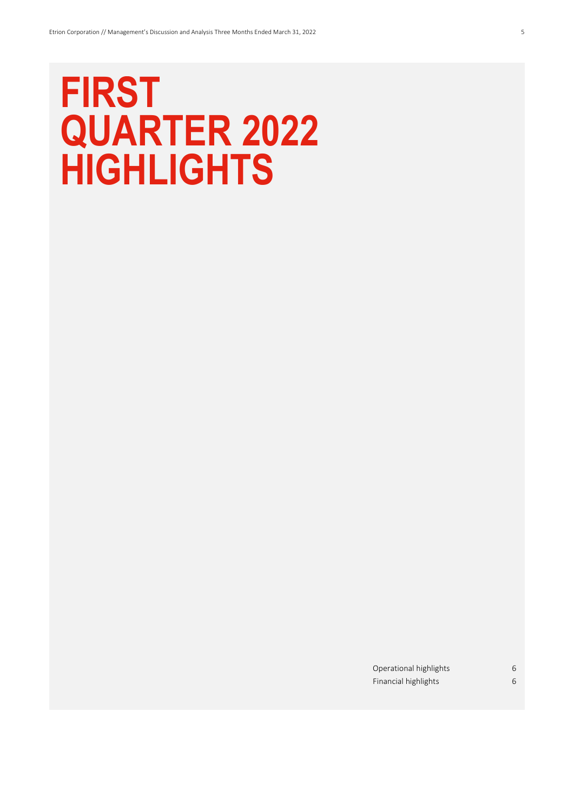## **FIRST QUARTER 2022 HIGHLIGHTS**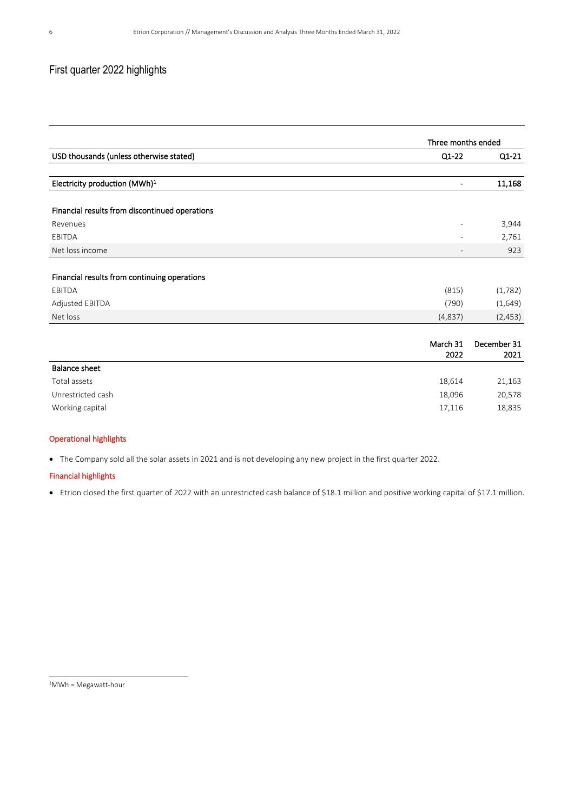### First quarter 2022 highlights

|                                                |                          | Three months ended  |  |  |  |
|------------------------------------------------|--------------------------|---------------------|--|--|--|
| USD thousands (unless otherwise stated)        | Q1-22                    | $Q1-21$             |  |  |  |
|                                                |                          |                     |  |  |  |
| Electricity production (MWh) <sup>1</sup>      |                          | 11,168              |  |  |  |
| Financial results from discontinued operations |                          |                     |  |  |  |
| Revenues                                       |                          | 3,944               |  |  |  |
| EBITDA                                         |                          | 2,761               |  |  |  |
| Net loss income                                | $\overline{\phantom{0}}$ | 923                 |  |  |  |
| Financial results from continuing operations   |                          |                     |  |  |  |
| EBITDA                                         | (815)                    | (1,782)             |  |  |  |
| Adjusted EBITDA                                | (790)                    | (1,649)             |  |  |  |
| Net loss                                       | (4,837)                  | (2, 453)            |  |  |  |
|                                                |                          |                     |  |  |  |
|                                                | March 31<br>2022         | December 31<br>2021 |  |  |  |
| <b>Balance sheet</b>                           |                          |                     |  |  |  |
| Total assets                                   | 18,614                   | 21,163              |  |  |  |
| Unrestricted cash                              | 18,096                   | 20,578              |  |  |  |
| Working capital                                | 17,116                   | 18,835              |  |  |  |

#### Operational highlights

• The Company sold all the solar assets in 2021 and is not developing any new project in the first quarter 2022.

#### Financial highlights

• Etrion closed the first quarter of 2022 with an unrestricted cash balance of \$18.1 million and positive working capital of \$17.1 million.

 $1$ MWh = Megawatt-hour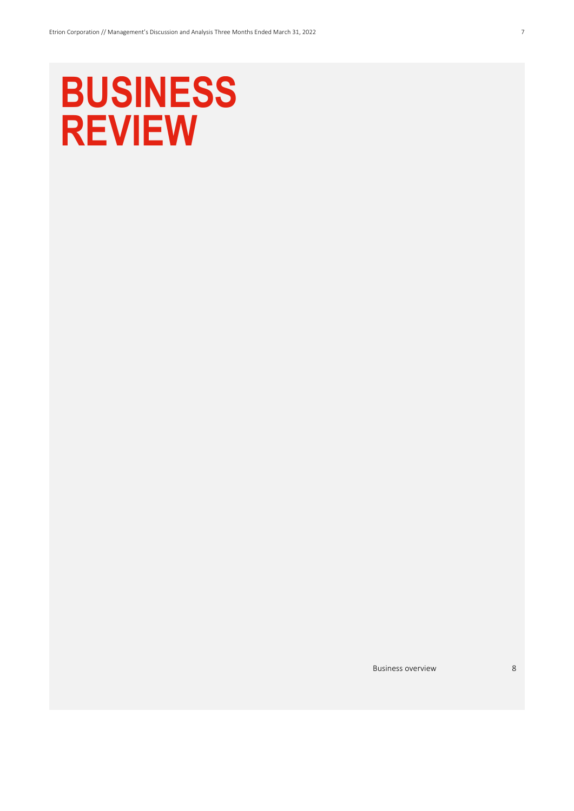# **BUSINESS REVIEW**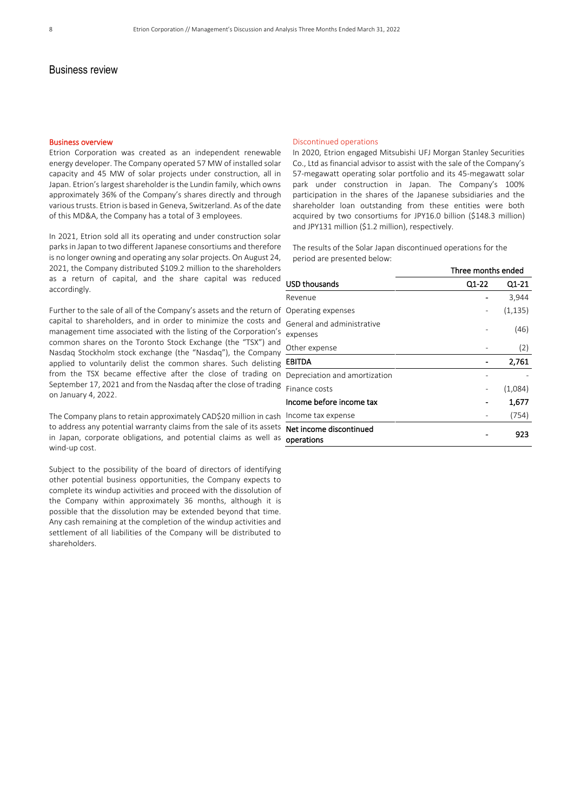#### Business review

#### Business overview

Etrion Corporation was created as an independent renewable energy developer. The Company operated 57 MW of installed solar capacity and 45 MW of solar projects under construction, all in Japan. Etrion's largest shareholder is the Lundin family, which owns approximately 36% of the Company's shares directly and through various trusts. Etrion is based in Geneva, Switzerland. As of the date of this MD&A, the Company has a total of 3 employees.

In 2021, Etrion sold all its operating and under construction solar parks in Japan to two different Japanese consortiums and therefore is no longer owning and operating any solar projects. On August 24, 2021, the Company distributed \$109.2 million to the shareholders as a return of capital, and the share capital was reduced accordingly.

Further to the sale of all of the Company's assets and the return of capital to shareholders, and in order to minimize the costs and management time associated with the listing of the Corporation's common shares on the Toronto Stock Exchange (the "TSX") and Nasdaq Stockholm stock exchange (the "Nasdaq"), the Company applied to voluntarily delist the common shares. Such delisting from the TSX became effective after the close of trading on September 17, 2021 and from the Nasdaq after the close of trading on January 4, 2022.

The Company plans to retain approximately CAD\$20 million in cash to address any potential warranty claims from the sale of its assets in Japan, corporate obligations, and potential claims as well as wind-up cost.

Subject to the possibility of the board of directors of identifying other potential business opportunities, the Company expects to complete its windup activities and proceed with the dissolution of the Company within approximately 36 months, although it is possible that the dissolution may be extended beyond that time. Any cash remaining at the completion of the windup activities and settlement of all liabilities of the Company will be distributed to shareholders.

#### Discontinued operations

In 2020, Etrion engaged Mitsubishi UFJ Morgan Stanley Securities Co., Ltd as financial advisor to assist with the sale of the Company's 57-megawatt operating solar portfolio and its 45-megawatt solar park under construction in Japan. The Company's 100% participation in the shares of the Japanese subsidiaries and the shareholder loan outstanding from these entities were both acquired by two consortiums for JPY16.0 billion (\$148.3 million) and JPY131 million (\$1.2 million), respectively.

The results of the Solar Japan discontinued operations for the period are presented below:

|                                        | Three months ended |          |
|----------------------------------------|--------------------|----------|
| USD thousands                          | Q1-22              | Q1-21    |
| Revenue                                |                    | 3,944    |
| Operating expenses                     |                    | (1, 135) |
| General and administrative<br>expenses |                    | (46)     |
| Other expense                          |                    | (2)      |
| <b>EBITDA</b>                          |                    | 2,761    |
| Depreciation and amortization          |                    |          |
| Finance costs                          |                    | (1,084)  |
| Income before income tax               |                    | 1,677    |
| Income tax expense                     |                    | (754)    |
| Net income discontinued<br>operations  |                    | 923      |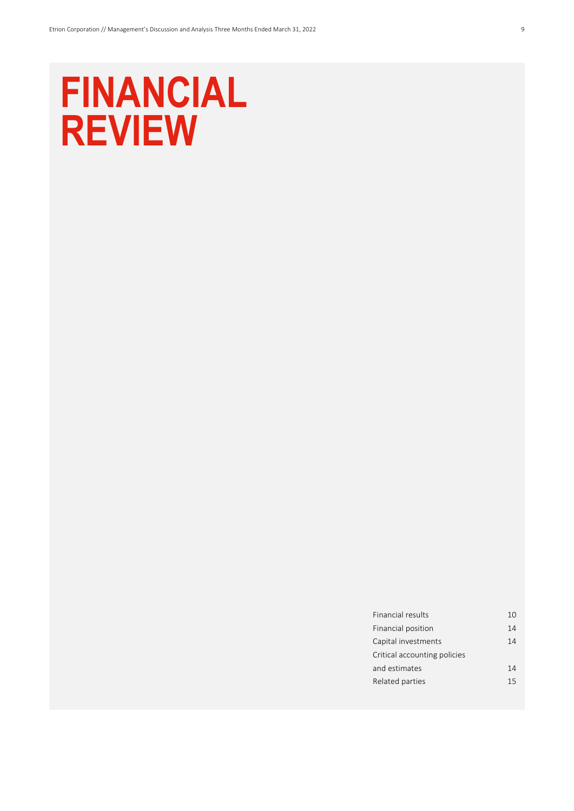## **FINANCIAL REVIEW**

| Financial results            | 10 |
|------------------------------|----|
| Financial position           | 14 |
| Capital investments          | 14 |
| Critical accounting policies |    |
| and estimates                | 14 |
| Related parties              | 15 |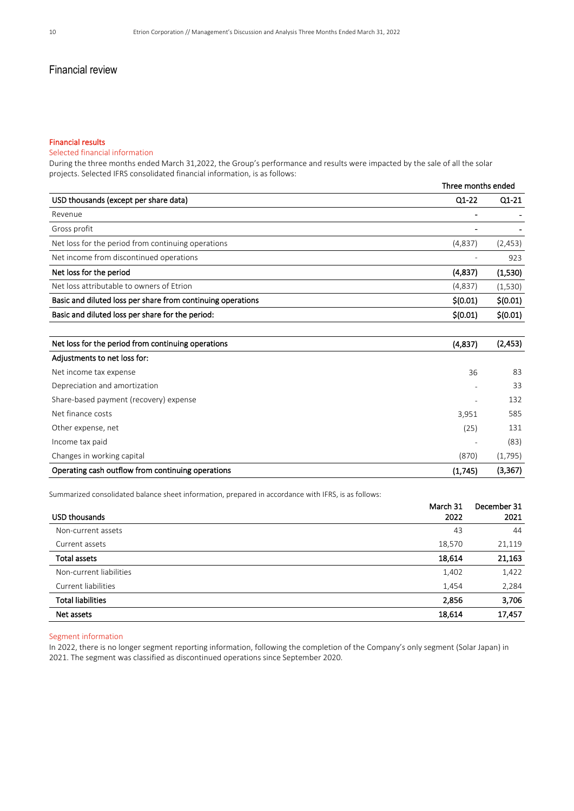#### Financial results

#### Selected financial information

During the three months ended March 31,2022, the Group's performance and results were impacted by the sale of all the solar projects. Selected IFRS consolidated financial information, is as follows:

|                                                             |                          | Three months ended |  |  |  |
|-------------------------------------------------------------|--------------------------|--------------------|--|--|--|
| USD thousands (except per share data)                       | Q1-22                    | $Q1-21$            |  |  |  |
| Revenue                                                     |                          |                    |  |  |  |
| Gross profit                                                |                          |                    |  |  |  |
| Net loss for the period from continuing operations          | (4,837)                  | (2, 453)           |  |  |  |
| Net income from discontinued operations                     | $\overline{\phantom{a}}$ | 923                |  |  |  |
| Net loss for the period                                     | (4,837)                  | (1,530)            |  |  |  |
| Net loss attributable to owners of Etrion                   | (4,837)                  | (1,530)            |  |  |  |
| Basic and diluted loss per share from continuing operations | \$(0.01)                 | \$(0.01)           |  |  |  |
| Basic and diluted loss per share for the period:            | \$(0.01)                 | \$(0.01)           |  |  |  |
| Net loss for the period from continuing operations          | (4,837)                  | (2, 453)           |  |  |  |
| Adjustments to net loss for:                                |                          |                    |  |  |  |

| Operating cash outflow from continuing operations | (1,745)                  | (3,367) |
|---------------------------------------------------|--------------------------|---------|
| Changes in working capital                        | (870)                    | (1,795) |
| Income tax paid                                   |                          | (83)    |
| Other expense, net                                | (25)                     | 131     |
| Net finance costs                                 | 3,951                    | 585     |
| Share-based payment (recovery) expense            |                          | 132     |
| Depreciation and amortization                     | $\overline{\phantom{a}}$ | 33      |
| Net income tax expense                            | 36                       | 83      |
|                                                   |                          |         |

Summarized consolidated balance sheet information, prepared in accordance with IFRS, is as follows:

|                          | March 31 | December 31 |
|--------------------------|----------|-------------|
| USD thousands            | 2022     | 2021        |
| Non-current assets       | 43       | 44          |
| Current assets           | 18,570   | 21,119      |
| <b>Total assets</b>      | 18,614   | 21,163      |
| Non-current liabilities  | 1,402    | 1,422       |
| Current liabilities      | 1,454    | 2,284       |
| <b>Total liabilities</b> | 2,856    | 3,706       |
| Net assets               | 18,614   | 17,457      |

#### Segment information

In 2022, there is no longer segment reporting information, following the completion of the Company's only segment (Solar Japan) in 2021. The segment was classified as discontinued operations since September 2020.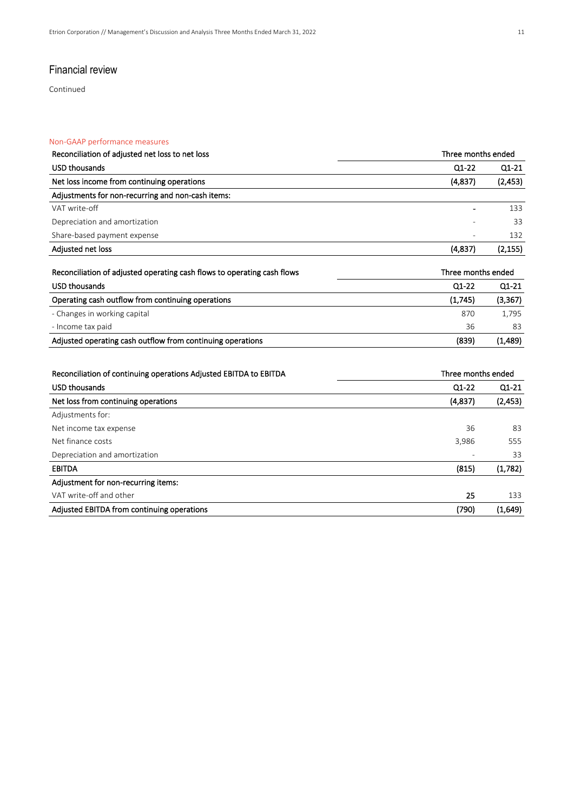Continued

#### Non-GAAP performance measures

| Reconciliation of adjusted net loss to net loss                         | Three months ended |          |
|-------------------------------------------------------------------------|--------------------|----------|
| <b>USD thousands</b>                                                    | $Q1-22$            | $Q1-21$  |
| Net loss income from continuing operations                              | (4,837)            | (2, 453) |
| Adjustments for non-recurring and non-cash items:                       |                    |          |
| VAT write-off                                                           |                    | 133      |
| Depreciation and amortization                                           |                    | 33       |
| Share-based payment expense                                             |                    | 132      |
| Adjusted net loss                                                       | (4,837)            | (2, 155) |
| Reconciliation of adjusted operating cash flows to operating cash flows | Three months ended |          |
| <b>USD thousands</b>                                                    | $Q1-22$            | $Q1-21$  |
| Operating cash outflow from continuing operations                       | (1,745)            | (3, 367) |
| - Changes in working capital                                            | 870                | 1,795    |
| - Income tax paid                                                       | 36                 | 83       |
| Adjusted operating cash outflow from continuing operations              | (839)              | (1,489)  |
|                                                                         |                    |          |
| Reconciliation of continuing operations Adjusted EBITDA to EBITDA       | Three months ended |          |
| <b>USD thousands</b>                                                    | $Q1-22$            | Q1-21    |
| Net loss from continuing operations                                     | (4,837)            | (2, 453) |
| Adjustments for:                                                        |                    |          |
| Net income tax expense                                                  | 36                 | 83       |
| Net finance costs                                                       | 3,986              | 555      |
| Depreciation and amortization                                           |                    | 33       |
| <b>EBITDA</b>                                                           | (815)              | (1,782)  |

| Adjustment for non-recurring items:        |       |         |
|--------------------------------------------|-------|---------|
| VAT write-off and other                    |       |         |
| Adjusted EBITDA from continuing operations | (790) | (1.649) |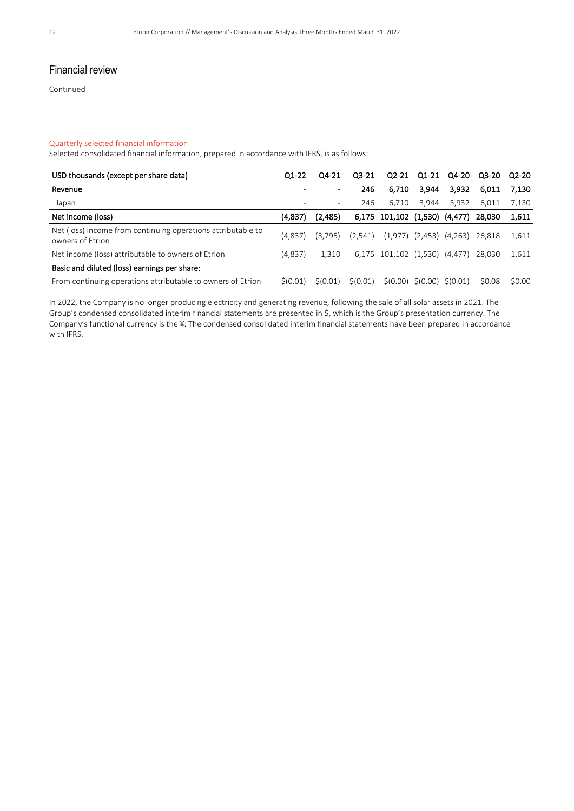Continued

#### Quarterly selected financial information

Selected consolidated financial information, prepared in accordance with IFRS, is as follows:

| USD thousands (except per share data)                                            | Q1-22          | Q4-21    | $Q3-21$  | $Q2-21$                       | Q1-21                                 | Q4-20                         | Q3-20  | Q2-20  |
|----------------------------------------------------------------------------------|----------------|----------|----------|-------------------------------|---------------------------------------|-------------------------------|--------|--------|
| Revenue                                                                          | $\blacksquare$ |          | 246      | 6.710                         | 3,944                                 | 3,932                         | 6,011  | 7.130  |
| Japan                                                                            |                | ۰        | 246      | 6.710                         | 3,944                                 | 3,932                         | 6,011  | 7.130  |
| Net income (loss)                                                                | (4,837)        | (2,485)  |          | 6,175 101,102 (1,530) (4,477) |                                       |                               | 28.030 | 1,611  |
| Net (loss) income from continuing operations attributable to<br>owners of Etrion | (4.837)        | (3.795)  | (2,541)  |                               |                                       | $(1,977)$ $(2,453)$ $(4,263)$ | 26.818 | 1,611  |
| Net income (loss) attributable to owners of Etrion                               | (4,837)        | 1.310    |          | 6,175 101,102 (1,530) (4,477) |                                       |                               | 28.030 | 1,611  |
| Basic and diluted (loss) earnings per share:                                     |                |          |          |                               |                                       |                               |        |        |
| From continuing operations attributable to owners of Etrion                      | S(0.01)        | \$(0.01) | \$(0.01) |                               | $\zeta(0.00) \zeta(0.00) \zeta(0.01)$ |                               | \$0.08 | \$0.00 |

In 2022, the Company is no longer producing electricity and generating revenue, following the sale of all solar assets in 2021. The Group's condensed consolidated interim financial statements are presented in \$, which is the Group's presentation currency. The Company's functional currency is the ¥. The condensed consolidated interim financial statements have been prepared in accordance with IFRS.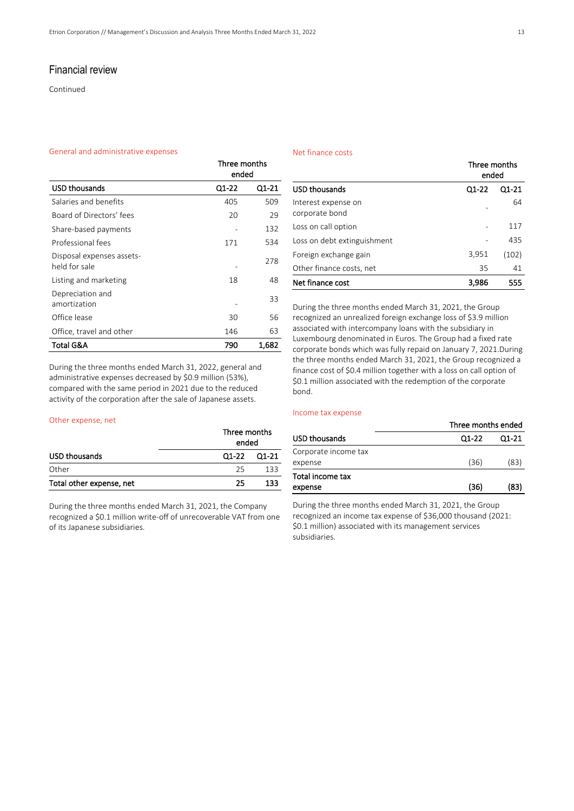Continued

#### General and administrative expenses

| Net finance costs |  |
|-------------------|--|
|                   |  |

|                                            | Three months<br>ended |       |
|--------------------------------------------|-----------------------|-------|
| <b>USD thousands</b>                       | Q1-22                 | Q1-21 |
| Salaries and benefits                      | 405                   | 509   |
| Board of Directors' fees                   | 20                    | 29    |
| Share-based payments                       |                       | 132   |
| Professional fees                          | 171                   | 534   |
| Disposal expenses assets-<br>held for sale |                       | 278   |
| Listing and marketing                      | 18                    | 48    |
| Depreciation and<br>amortization           |                       | 33    |
| Office lease                               | 30                    | 56    |
| Office, travel and other                   | 146                   | 63    |
| Total G&A                                  | 790                   | 1,682 |

During the three months ended March 31, 2022, general and administrative expenses decreased by \$0.9 million (53%), compared with the same period in 2021 due to the reduced activity of the corporation after the sale of Japanese assets.

#### Other expense, net

|                          | Three months<br>ended |             |  |
|--------------------------|-----------------------|-------------|--|
| USD thousands            |                       | Q1-22 Q1-21 |  |
| Other                    | 25.                   | 133.        |  |
| Total other expense, net | 25                    | 133         |  |

During the three months ended March 31, 2021, the Company recognized a \$0.1 million write-off of unrecoverable VAT from one of its Japanese subsidiaries.

|                                       | Three months<br>ended |           |
|---------------------------------------|-----------------------|-----------|
| <b>USD thousands</b>                  | Q1-22                 | $Q1 - 21$ |
| Interest expense on<br>corporate bond |                       | 64        |
| Loss on call option                   |                       | 117       |
| Loss on debt extinguishment           |                       | 435       |
| Foreign exchange gain                 | 3,951                 | (102)     |
| Other finance costs, net              | 35                    | 41        |
| Net finance cost                      | 3,986                 | 555       |

During the three months ended March 31, 2021, the Group recognized an unrealized foreign exchange loss of \$3.9 million associated with intercompany loans with the subsidiary in Luxembourg denominated in Euros. The Group had a fixed rate corporate bonds which was fully repaid on January 7, 2021.During the three months ended March 31, 2021, the Group recognized a finance cost of \$0.4 million together with a loss on call option of \$0.1 million associated with the redemption of the corporate bond.

#### Income tax expense

|                      |         | Three months ended |  |
|----------------------|---------|--------------------|--|
| USD thousands        | $Q1-22$ | Q1-21              |  |
| Corporate income tax |         |                    |  |
| expense              | (36)    | (83)               |  |
| Total income tax     |         |                    |  |
| expense              | (36)    | (83)               |  |
|                      |         |                    |  |

During the three months ended March 31, 2021, the Group recognized an income tax expense of \$36,000 thousand (2021: \$0.1 million) associated with its management services subsidiaries.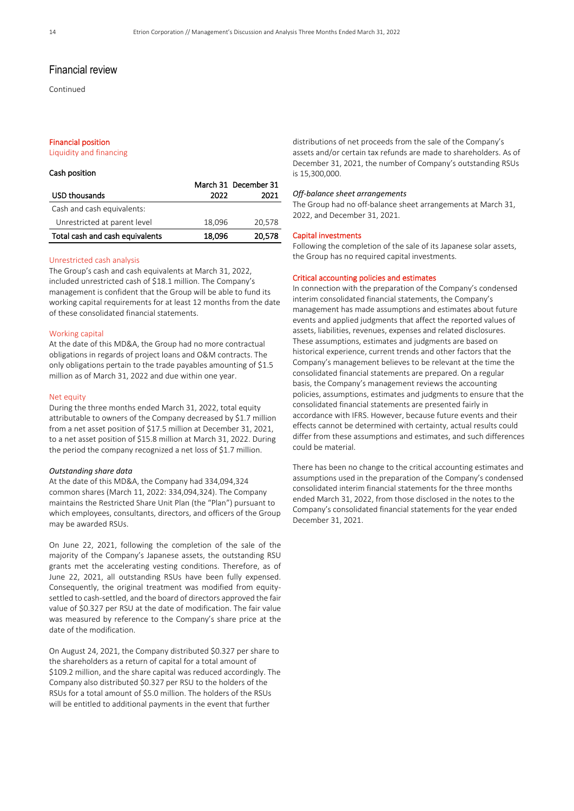Continued

#### Financial position

Liquidity and financing

#### Cash position

|                                 |        | March 31 December 31 |
|---------------------------------|--------|----------------------|
| <b>USD thousands</b>            | 2022   | 2021                 |
| Cash and cash equivalents:      |        |                      |
| Unrestricted at parent level    | 18,096 | 20,578               |
| Total cash and cash equivalents | 18,096 | 20,578               |

#### Unrestricted cash analysis

The Group's cash and cash equivalents at March 31, 2022, included unrestricted cash of \$18.1 million. The Company's management is confident that the Group will be able to fund its working capital requirements for at least 12 months from the date of these consolidated financial statements.

#### Working capital

At the date of this MD&A, the Group had no more contractual obligations in regards of project loans and O&M contracts. The only obligations pertain to the trade payables amounting of \$1.5 million as of March 31, 2022 and due within one year.

#### Net equity

During the three months ended March 31, 2022, total equity attributable to owners of the Company decreased by \$1.7 million from a net asset position of \$17.5 million at December 31, 2021, to a net asset position of \$15.8 million at March 31, 2022. During the period the company recognized a net loss of \$1.7 million.

#### *Outstanding share data*

At the date of this MD&A, the Company had 334,094,324 common shares (March 11, 2022: 334,094,324). The Company maintains the Restricted Share Unit Plan (the "Plan") pursuant to which employees, consultants, directors, and officers of the Group may be awarded RSUs.

On June 22, 2021, following the completion of the sale of the majority of the Company's Japanese assets, the outstanding RSU grants met the accelerating vesting conditions. Therefore, as of June 22, 2021, all outstanding RSUs have been fully expensed. Consequently, the original treatment was modified from equitysettled to cash-settled, and the board of directors approved the fair value of \$0.327 per RSU at the date of modification. The fair value was measured by reference to the Company's share price at the date of the modification.

On August 24, 2021, the Company distributed \$0.327 per share to the shareholders as a return of capital for a total amount of \$109.2 million, and the share capital was reduced accordingly. The Company also distributed \$0.327 per RSU to the holders of the RSUs for a total amount of \$5.0 million. The holders of the RSUs will be entitled to additional payments in the event that further

distributions of net proceeds from the sale of the Company's assets and/or certain tax refunds are made to shareholders. As of December 31, 2021, the number of Company's outstanding RSUs is 15,300,000.

#### *Off-balance sheet arrangements*

The Group had no off-balance sheet arrangements at March 31, 2022, and December 31, 2021.

#### Capital investments

Following the completion of the sale of its Japanese solar assets, the Group has no required capital investments.

#### Critical accounting policies and estimates

In connection with the preparation of the Company's condensed interim consolidated financial statements, the Company's management has made assumptions and estimates about future events and applied judgments that affect the reported values of assets, liabilities, revenues, expenses and related disclosures. These assumptions, estimates and judgments are based on historical experience, current trends and other factors that the Company's management believes to be relevant at the time the consolidated financial statements are prepared. On a regular basis, the Company's management reviews the accounting policies, assumptions, estimates and judgments to ensure that the consolidated financial statements are presented fairly in accordance with IFRS. However, because future events and their effects cannot be determined with certainty, actual results could differ from these assumptions and estimates, and such differences could be material.

There has been no change to the critical accounting estimates and assumptions used in the preparation of the Company's condensed consolidated interim financial statements for the three months ended March 31, 2022, from those disclosed in the notes to the Company's consolidated financial statements for the year ended December 31, 2021.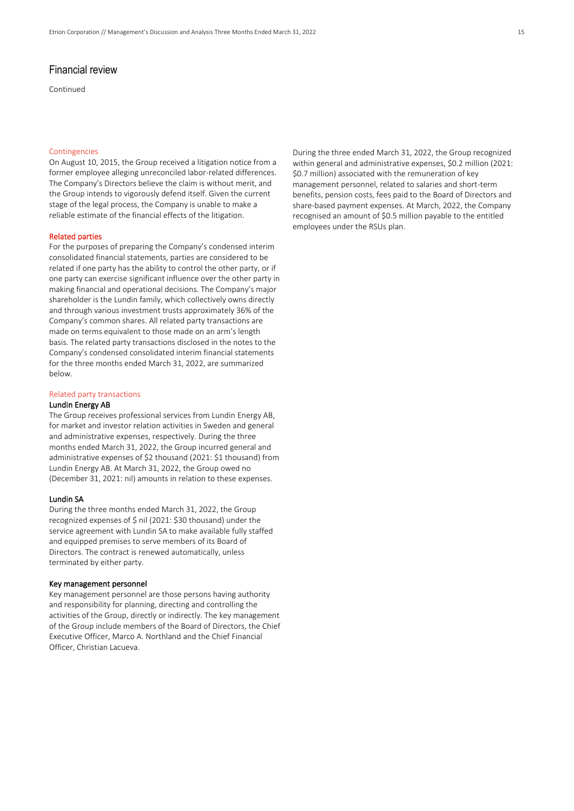Continued

#### Contingencies

On August 10, 2015, the Group received a litigation notice from a former employee alleging unreconciled labor-related differences. The Company's Directors believe the claim is without merit, and the Group intends to vigorously defend itself. Given the current stage of the legal process, the Company is unable to make a reliable estimate of the financial effects of the litigation.

#### Related parties

For the purposes of preparing the Company's condensed interim consolidated financial statements, parties are considered to be related if one party has the ability to control the other party, or if one party can exercise significant influence over the other party in making financial and operational decisions. The Company's major shareholder is the Lundin family, which collectively owns directly and through various investment trusts approximately 36% of the Company's common shares. All related party transactions are made on terms equivalent to those made on an arm's length basis. The related party transactions disclosed in the notes to the Company's condensed consolidated interim financial statements for the three months ended March 31, 2022, are summarized below.

#### Related party transactions

#### Lundin Energy AB

The Group receives professional services from Lundin Energy AB, for market and investor relation activities in Sweden and general and administrative expenses, respectively. During the three months ended March 31, 2022, the Group incurred general and administrative expenses of \$2 thousand (2021: \$1 thousand) from Lundin Energy AB. At March 31, 2022, the Group owed no (December 31, 2021: nil) amounts in relation to these expenses.

#### Lundin SA

During the three months ended March 31, 2022, the Group recognized expenses of \$ nil (2021: \$30 thousand) under the service agreement with Lundin SA to make available fully staffed and equipped premises to serve members of its Board of Directors. The contract is renewed automatically, unless terminated by either party.

#### Key management personnel

Key management personnel are those persons having authority and responsibility for planning, directing and controlling the activities of the Group, directly or indirectly. The key management of the Group include members of the Board of Directors, the Chief Executive Officer, Marco A. Northland and the Chief Financial Officer, Christian Lacueva.

During the three ended March 31, 2022, the Group recognized within general and administrative expenses, \$0.2 million (2021: \$0.7 million) associated with the remuneration of key management personnel, related to salaries and short-term benefits, pension costs, fees paid to the Board of Directors and share-based payment expenses. At March, 2022, the Company recognised an amount of \$0.5 million payable to the entitled employees under the RSUs plan.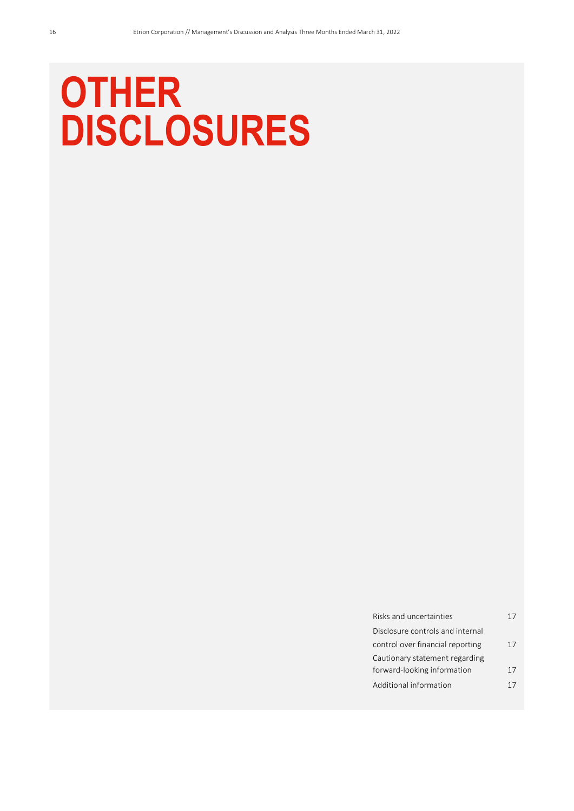# **OTHER DISCLOSURES**

| Risks and uncertainties          | 17 |
|----------------------------------|----|
| Disclosure controls and internal |    |
| control over financial reporting | 17 |
| Cautionary statement regarding   |    |
| forward-looking information      | 17 |
| Additional information           |    |